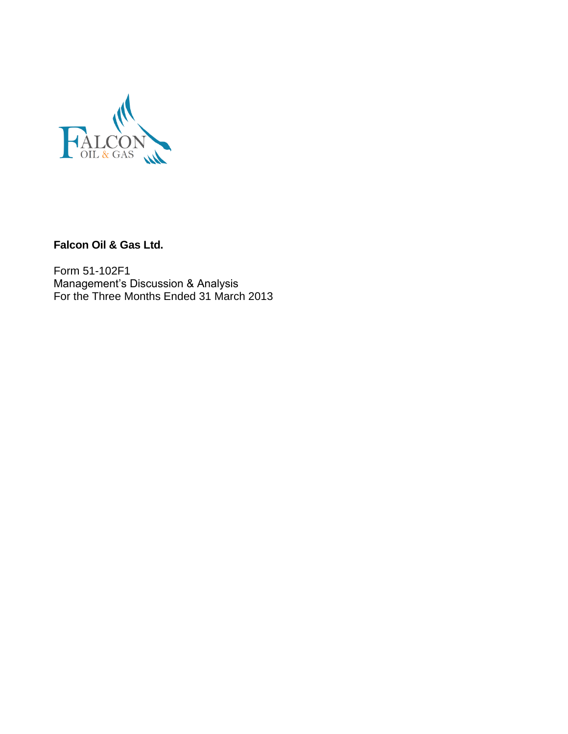

**Falcon Oil & Gas Ltd.**

Form 51-102F1 Management's Discussion & Analysis For the Three Months Ended 31 March 2013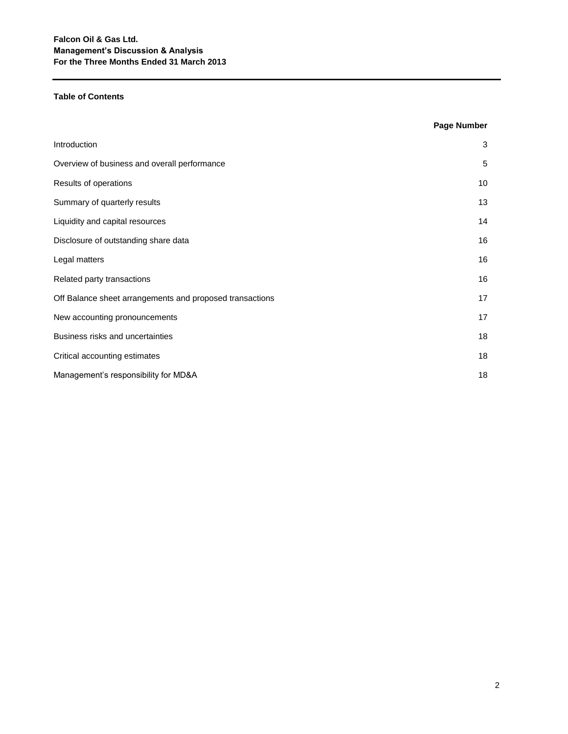# **Table of Contents**

|                                                          | Page Number |
|----------------------------------------------------------|-------------|
| Introduction                                             | 3           |
| Overview of business and overall performance             | 5           |
| Results of operations                                    | 10          |
| Summary of quarterly results                             | 13          |
| Liquidity and capital resources                          | 14          |
| Disclosure of outstanding share data                     | 16          |
| Legal matters                                            | 16          |
| Related party transactions                               | 16          |
| Off Balance sheet arrangements and proposed transactions | 17          |
| New accounting pronouncements                            | 17          |
| Business risks and uncertainties                         | 18          |
| Critical accounting estimates                            | 18          |
| Management's responsibility for MD&A                     | 18          |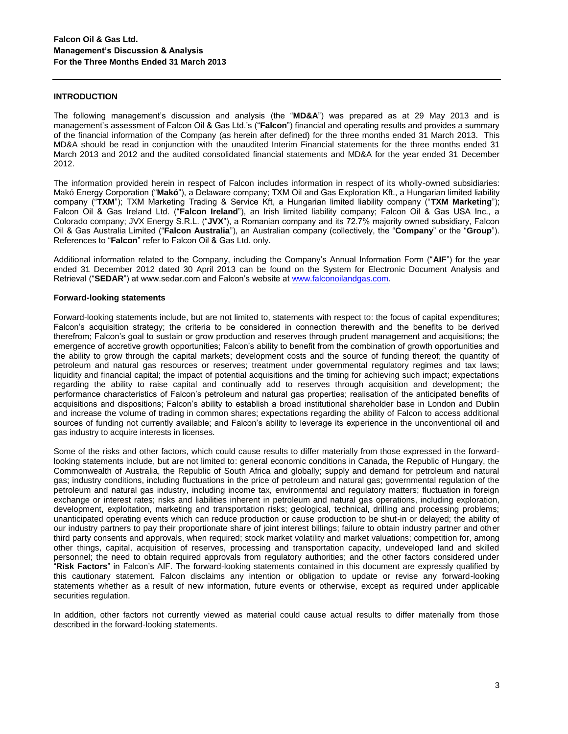## **INTRODUCTION**

The following management's discussion and analysis (the "**MD&A**") was prepared as at 29 May 2013 and is management's assessment of Falcon Oil & Gas Ltd.'s ("**Falcon**") financial and operating results and provides a summary of the financial information of the Company (as herein after defined) for the three months ended 31 March 2013. This MD&A should be read in conjunction with the unaudited Interim Financial statements for the three months ended 31 March 2013 and 2012 and the audited consolidated financial statements and MD&A for the year ended 31 December 2012.

The information provided herein in respect of Falcon includes information in respect of its wholly-owned subsidiaries: Makó Energy Corporation ("**Makó**"), a Delaware company; TXM Oil and Gas Exploration Kft., a Hungarian limited liability company ("**TXM**"); TXM Marketing Trading & Service Kft, a Hungarian limited liability company ("**TXM Marketing**"); Falcon Oil & Gas Ireland Ltd. ("**Falcon Ireland**"), an Irish limited liability company; Falcon Oil & Gas USA Inc., a Colorado company; JVX Energy S.R.L. ("**JVX**"), a Romanian company and its 72.7% majority owned subsidiary, Falcon Oil & Gas Australia Limited ("**Falcon Australia**"), an Australian company (collectively, the "**Company**" or the "**Group**"). References to "**Falcon**" refer to Falcon Oil & Gas Ltd. only.

Additional information related to the Company, including the Company's Annual Information Form ("**AIF**") for the year ended 31 December 2012 dated 30 April 2013 can be found on the System for Electronic Document Analysis and Retrieval ("SEDAR") at www.sedar.com and Falcon's website at [www.falconoilandgas.com.](http://www.falconoilandgas.com/)

## **Forward-looking statements**

Forward-looking statements include, but are not limited to, statements with respect to: the focus of capital expenditures; Falcon's acquisition strategy; the criteria to be considered in connection therewith and the benefits to be derived therefrom; Falcon's goal to sustain or grow production and reserves through prudent management and acquisitions; the emergence of accretive growth opportunities; Falcon's ability to benefit from the combination of growth opportunities and the ability to grow through the capital markets; development costs and the source of funding thereof; the quantity of petroleum and natural gas resources or reserves; treatment under governmental regulatory regimes and tax laws; liquidity and financial capital; the impact of potential acquisitions and the timing for achieving such impact; expectations regarding the ability to raise capital and continually add to reserves through acquisition and development; the performance characteristics of Falcon's petroleum and natural gas properties; realisation of the anticipated benefits of acquisitions and dispositions; Falcon's ability to establish a broad institutional shareholder base in London and Dublin and increase the volume of trading in common shares; expectations regarding the ability of Falcon to access additional sources of funding not currently available; and Falcon's ability to leverage its experience in the unconventional oil and gas industry to acquire interests in licenses.

Some of the risks and other factors, which could cause results to differ materially from those expressed in the forwardlooking statements include, but are not limited to: general economic conditions in Canada, the Republic of Hungary, the Commonwealth of Australia, the Republic of South Africa and globally; supply and demand for petroleum and natural gas; industry conditions, including fluctuations in the price of petroleum and natural gas; governmental regulation of the petroleum and natural gas industry, including income tax, environmental and regulatory matters; fluctuation in foreign exchange or interest rates; risks and liabilities inherent in petroleum and natural gas operations, including exploration, development, exploitation, marketing and transportation risks; geological, technical, drilling and processing problems; unanticipated operating events which can reduce production or cause production to be shut-in or delayed; the ability of our industry partners to pay their proportionate share of joint interest billings; failure to obtain industry partner and other third party consents and approvals, when required; stock market volatility and market valuations; competition for, among other things, capital, acquisition of reserves, processing and transportation capacity, undeveloped land and skilled personnel; the need to obtain required approvals from regulatory authorities; and the other factors considered under "**Risk Factors**" in Falcon's AIF. The forward-looking statements contained in this document are expressly qualified by this cautionary statement. Falcon disclaims any intention or obligation to update or revise any forward-looking statements whether as a result of new information, future events or otherwise, except as required under applicable securities regulation.

In addition, other factors not currently viewed as material could cause actual results to differ materially from those described in the forward-looking statements.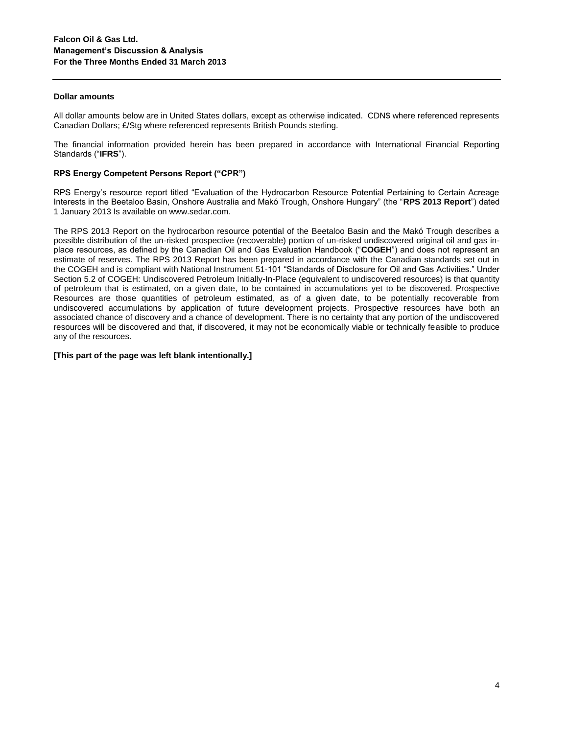## **Dollar amounts**

All dollar amounts below are in United States dollars, except as otherwise indicated. CDN\$ where referenced represents Canadian Dollars; £/Stg where referenced represents British Pounds sterling.

The financial information provided herein has been prepared in accordance with International Financial Reporting Standards ("**IFRS**").

## **RPS Energy Competent Persons Report ("CPR")**

RPS Energy's resource report titled "Evaluation of the Hydrocarbon Resource Potential Pertaining to Certain Acreage Interests in the Beetaloo Basin, Onshore Australia and Makó Trough, Onshore Hungary" (the "**RPS 2013 Report**") dated 1 January 2013 Is available on www.sedar.com.

The RPS 2013 Report on the hydrocarbon resource potential of the Beetaloo Basin and the Makó Trough describes a possible distribution of the un-risked prospective (recoverable) portion of un-risked undiscovered original oil and gas inplace resources, as defined by the Canadian Oil and Gas Evaluation Handbook ("**COGEH**") and does not represent an estimate of reserves. The RPS 2013 Report has been prepared in accordance with the Canadian standards set out in the COGEH and is compliant with National Instrument 51-101 "Standards of Disclosure for Oil and Gas Activities." Under Section 5.2 of COGEH: Undiscovered Petroleum Initially-In-Place (equivalent to undiscovered resources) is that quantity of petroleum that is estimated, on a given date, to be contained in accumulations yet to be discovered. Prospective Resources are those quantities of petroleum estimated, as of a given date, to be potentially recoverable from undiscovered accumulations by application of future development projects. Prospective resources have both an associated chance of discovery and a chance of development. There is no certainty that any portion of the undiscovered resources will be discovered and that, if discovered, it may not be economically viable or technically feasible to produce any of the resources.

## **[This part of the page was left blank intentionally.]**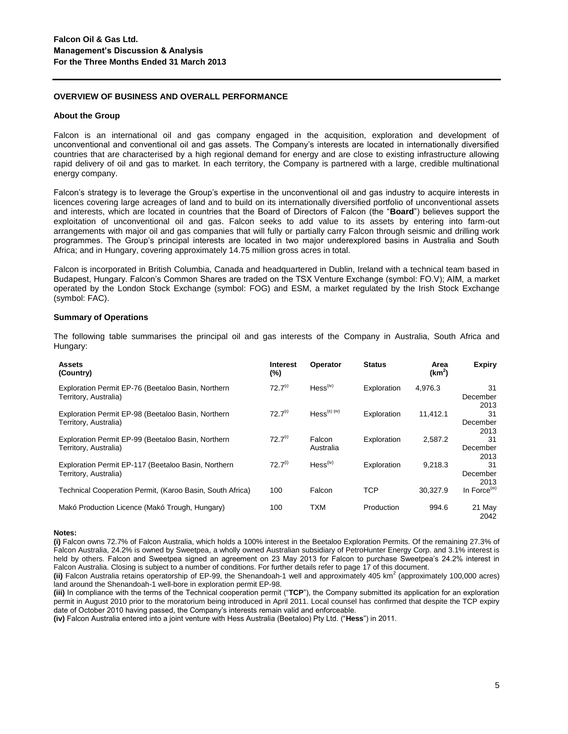## **OVERVIEW OF BUSINESS AND OVERALL PERFORMANCE**

## **About the Group**

Falcon is an international oil and gas company engaged in the acquisition, exploration and development of unconventional and conventional oil and gas assets. The Company's interests are located in internationally diversified countries that are characterised by a high regional demand for energy and are close to existing infrastructure allowing rapid delivery of oil and gas to market. In each territory, the Company is partnered with a large, credible multinational energy company.

Falcon's strategy is to leverage the Group's expertise in the unconventional oil and gas industry to acquire interests in licences covering large acreages of land and to build on its internationally diversified portfolio of unconventional assets and interests, which are located in countries that the Board of Directors of Falcon (the "**Board**") believes support the exploitation of unconventional oil and gas. Falcon seeks to add value to its assets by entering into farm-out arrangements with major oil and gas companies that will fully or partially carry Falcon through seismic and drilling work programmes. The Group's principal interests are located in two major underexplored basins in Australia and South Africa; and in Hungary, covering approximately 14.75 million gross acres in total.

Falcon is incorporated in British Columbia, Canada and headquartered in Dublin, Ireland with a technical team based in Budapest, Hungary. Falcon's Common Shares are traded on the TSX Venture Exchange (symbol: FO.V); AIM, a market operated by the London Stock Exchange (symbol: FOG) and ESM, a market regulated by the Irish Stock Exchange (symbol: FAC).

## **Summary of Operations**

The following table summarises the principal oil and gas interests of the Company in Australia, South Africa and Hungary:

| <b>Assets</b><br>(Country)                                                   | <b>Interest</b><br>(%) | Operator                    | <b>Status</b> | Area<br>(km <sup>2</sup> ) | <b>Expiry</b>             |
|------------------------------------------------------------------------------|------------------------|-----------------------------|---------------|----------------------------|---------------------------|
| Exploration Permit EP-76 (Beetaloo Basin, Northern<br>Territory, Australia)  | $72.7^{(i)}$           | $Hess^{(iv)}$               | Exploration   | 4,976.3                    | 31<br>December<br>2013    |
| Exploration Permit EP-98 (Beetaloo Basin, Northern<br>Territory, Australia)  | $72.7^{(i)}$           | $Hess$ <sup>(ii) (iv)</sup> | Exploration   | 11.412.1                   | 31<br>December<br>2013    |
| Exploration Permit EP-99 (Beetaloo Basin, Northern<br>Territory, Australia)  | $72.7^{(i)}$           | Falcon<br>Australia         | Exploration   | 2.587.2                    | 31<br>December<br>2013    |
| Exploration Permit EP-117 (Beetaloo Basin, Northern<br>Territory, Australia) | $72.7^{(i)}$           | Hess <sup>(iv)</sup>        | Exploration   | 9.218.3                    | 31<br>December<br>2013    |
| Technical Cooperation Permit, (Karoo Basin, South Africa)                    | 100                    | Falcon                      | <b>TCP</b>    | 30.327.9                   | In Force <sup>(iii)</sup> |
| Makó Production Licence (Makó Trough, Hungary)                               | 100                    | <b>TXM</b>                  | Production    | 994.6                      | 21 May<br>2042            |

#### **Notes:**

**(i)** Falcon owns 72.7% of Falcon Australia, which holds a 100% interest in the Beetaloo Exploration Permits. Of the remaining 27.3% of Falcon Australia, 24.2% is owned by Sweetpea, a wholly owned Australian subsidiary of PetroHunter Energy Corp. and 3.1% interest is held by others. Falcon and Sweetpea signed an agreement on 23 May 2013 for Falcon to purchase Sweetpea's 24.2% interest in Falcon Australia. Closing is subject to a number of conditions. For further details refer to page 17 of this document.

(ii) Falcon Australia retains operatorship of EP-99, the Shenandoah-1 well and approximately 405 km<sup>2</sup> (approximately 100,000 acres) land around the Shenandoah-1 well-bore in exploration permit EP-98.

**(iii)** In compliance with the terms of the Technical cooperation permit ("**TCP**"), the Company submitted its application for an exploration permit in August 2010 prior to the moratorium being introduced in April 2011. Local counsel has confirmed that despite the TCP expiry date of October 2010 having passed, the Company's interests remain valid and enforceable.

**(iv)** Falcon Australia entered into a joint venture with Hess Australia (Beetaloo) Pty Ltd. ("**Hess**") in 2011.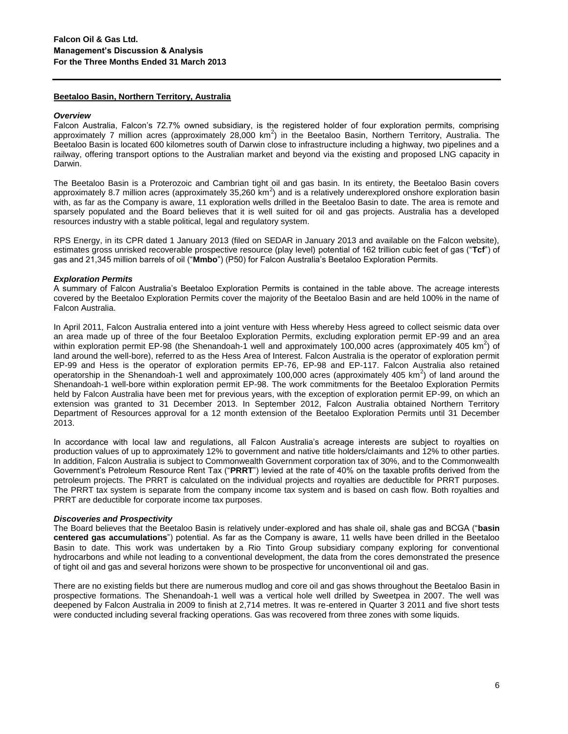## **Beetaloo Basin, Northern Territory, Australia**

## *Overview*

Falcon Australia, Falcon's 72.7% owned subsidiary, is the registered holder of four exploration permits, comprising approximately 7 million acres (approximately 28,000 km<sup>2</sup>) in the Beetaloo Basin, Northern Territory, Australia. The Beetaloo Basin is located 600 kilometres south of Darwin close to infrastructure including a highway, two pipelines and a railway, offering transport options to the Australian market and beyond via the existing and proposed LNG capacity in Darwin.

The Beetaloo Basin is a Proterozoic and Cambrian tight oil and gas basin. In its entirety, the Beetaloo Basin covers approximately 8.7 million acres (approximately 35,260 km<sup>2</sup>) and is a relatively underexplored onshore exploration basin with, as far as the Company is aware, 11 exploration wells drilled in the Beetaloo Basin to date. The area is remote and sparsely populated and the Board believes that it is well suited for oil and gas projects. Australia has a developed resources industry with a stable political, legal and regulatory system.

RPS Energy, in its CPR dated 1 January 2013 (filed on SEDAR in January 2013 and available on the Falcon website), estimates gross unrisked recoverable prospective resource (play level) potential of 162 trillion cubic feet of gas ("**Tcf**") of gas and 21,345 million barrels of oil ("**Mmbo**") (P50) for Falcon Australia's Beetaloo Exploration Permits.

## *Exploration Permits*

A summary of Falcon Australia's Beetaloo Exploration Permits is contained in the table above. The acreage interests covered by the Beetaloo Exploration Permits cover the majority of the Beetaloo Basin and are held 100% in the name of Falcon Australia.

In April 2011, Falcon Australia entered into a joint venture with Hess whereby Hess agreed to collect seismic data over an area made up of three of the four Beetaloo Exploration Permits, excluding exploration permit EP-99 and an area within exploration permit EP-98 (the Shenandoah-1 well and approximately 100,000 acres (approximately 405 km<sup>2</sup>) of land around the well-bore), referred to as the Hess Area of Interest. Falcon Australia is the operator of exploration permit EP-99 and Hess is the operator of exploration permits EP-76, EP-98 and EP-117. Falcon Australia also retained operatorship in the Shenandoah-1 well and approximately 100,000 acres (approximately 405 km<sup>2</sup>) of land around the Shenandoah-1 well-bore within exploration permit EP-98. The work commitments for the Beetaloo Exploration Permits held by Falcon Australia have been met for previous years, with the exception of exploration permit EP-99, on which an extension was granted to 31 December 2013. In September 2012, Falcon Australia obtained Northern Territory Department of Resources approval for a 12 month extension of the Beetaloo Exploration Permits until 31 December 2013.

In accordance with local law and regulations, all Falcon Australia's acreage interests are subject to royalties on production values of up to approximately 12% to government and native title holders/claimants and 12% to other parties. In addition, Falcon Australia is subject to Commonwealth Government corporation tax of 30%, and to the Commonwealth Government's Petroleum Resource Rent Tax ("**PRRT**") levied at the rate of 40% on the taxable profits derived from the petroleum projects. The PRRT is calculated on the individual projects and royalties are deductible for PRRT purposes. The PRRT tax system is separate from the company income tax system and is based on cash flow. Both royalties and PRRT are deductible for corporate income tax purposes.

#### *Discoveries and Prospectivity*

The Board believes that the Beetaloo Basin is relatively under-explored and has shale oil, shale gas and BCGA ("**basin centered gas accumulations**") potential. As far as the Company is aware, 11 wells have been drilled in the Beetaloo Basin to date. This work was undertaken by a Rio Tinto Group subsidiary company exploring for conventional hydrocarbons and while not leading to a conventional development, the data from the cores demonstrated the presence of tight oil and gas and several horizons were shown to be prospective for unconventional oil and gas.

There are no existing fields but there are numerous mudlog and core oil and gas shows throughout the Beetaloo Basin in prospective formations. The Shenandoah-1 well was a vertical hole well drilled by Sweetpea in 2007. The well was deepened by Falcon Australia in 2009 to finish at 2,714 metres. It was re-entered in Quarter 3 2011 and five short tests were conducted including several fracking operations. Gas was recovered from three zones with some liquids.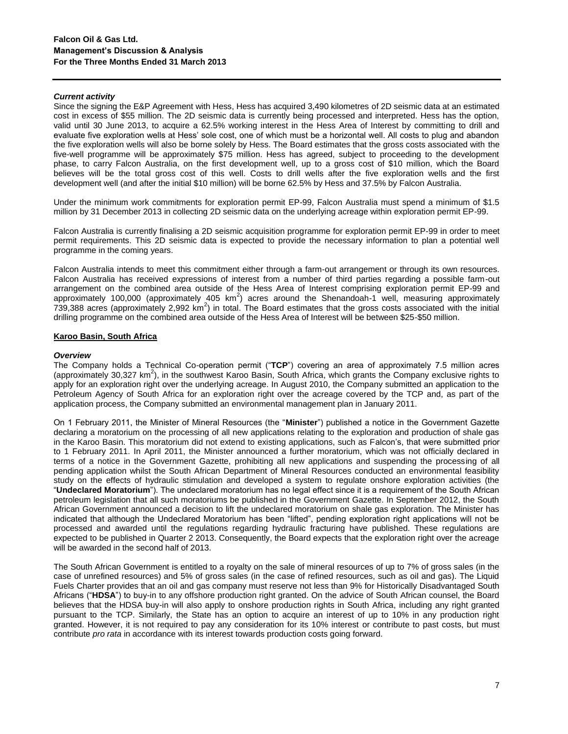## *Current activity*

Since the signing the E&P Agreement with Hess, Hess has acquired 3,490 kilometres of 2D seismic data at an estimated cost in excess of \$55 million. The 2D seismic data is currently being processed and interpreted. Hess has the option, valid until 30 June 2013, to acquire a 62.5% working interest in the Hess Area of Interest by committing to drill and evaluate five exploration wells at Hess' sole cost, one of which must be a horizontal well. All costs to plug and abandon the five exploration wells will also be borne solely by Hess. The Board estimates that the gross costs associated with the five-well programme will be approximately \$75 million. Hess has agreed, subject to proceeding to the development phase, to carry Falcon Australia, on the first development well, up to a gross cost of \$10 million, which the Board believes will be the total gross cost of this well. Costs to drill wells after the five exploration wells and the first development well (and after the initial \$10 million) will be borne 62.5% by Hess and 37.5% by Falcon Australia.

Under the minimum work commitments for exploration permit EP-99, Falcon Australia must spend a minimum of \$1.5 million by 31 December 2013 in collecting 2D seismic data on the underlying acreage within exploration permit EP-99.

Falcon Australia is currently finalising a 2D seismic acquisition programme for exploration permit EP-99 in order to meet permit requirements. This 2D seismic data is expected to provide the necessary information to plan a potential well programme in the coming years.

Falcon Australia intends to meet this commitment either through a farm-out arrangement or through its own resources. Falcon Australia has received expressions of interest from a number of third parties regarding a possible farm-out arrangement on the combined area outside of the Hess Area of Interest comprising exploration permit EP-99 and approximately 100,000 (approximately 405 km<sup>2</sup>) acres around the Shenandoah-1 well, measuring approximately  $739,388$  acres (approximately 2,992 km<sup>2</sup>) in total. The Board estimates that the gross costs associated with the initial drilling programme on the combined area outside of the Hess Area of Interest will be between \$25-\$50 million.

## **Karoo Basin, South Africa**

#### *Overview*

The Company holds a Technical Co-operation permit ("**TCP**") covering an area of approximately 7.5 million acres (approximately 30,327 km<sup>2</sup>), in the southwest Karoo Basin, South Africa, which grants the Company exclusive rights to apply for an exploration right over the underlying acreage. In August 2010, the Company submitted an application to the Petroleum Agency of South Africa for an exploration right over the acreage covered by the TCP and, as part of the application process, the Company submitted an environmental management plan in January 2011.

On 1 February 2011, the Minister of Mineral Resources (the "**Minister**") published a notice in the Government Gazette declaring a moratorium on the processing of all new applications relating to the exploration and production of shale gas in the Karoo Basin. This moratorium did not extend to existing applications, such as Falcon's, that were submitted prior to 1 February 2011. In April 2011, the Minister announced a further moratorium, which was not officially declared in terms of a notice in the Government Gazette, prohibiting all new applications and suspending the processing of all pending application whilst the South African Department of Mineral Resources conducted an environmental feasibility study on the effects of hydraulic stimulation and developed a system to regulate onshore exploration activities (the "**Undeclared Moratorium**"). The undeclared moratorium has no legal effect since it is a requirement of the South African petroleum legislation that all such moratoriums be published in the Government Gazette. In September 2012, the South African Government announced a decision to lift the undeclared moratorium on shale gas exploration. The Minister has indicated that although the Undeclared Moratorium has been "lifted", pending exploration right applications will not be processed and awarded until the regulations regarding hydraulic fracturing have published. These regulations are expected to be published in Quarter 2 2013. Consequently, the Board expects that the exploration right over the acreage will be awarded in the second half of 2013.

The South African Government is entitled to a royalty on the sale of mineral resources of up to 7% of gross sales (in the case of unrefined resources) and 5% of gross sales (in the case of refined resources, such as oil and gas). The Liquid Fuels Charter provides that an oil and gas company must reserve not less than 9% for Historically Disadvantaged South Africans ("**HDSA**") to buy-in to any offshore production right granted. On the advice of South African counsel, the Board believes that the HDSA buy-in will also apply to onshore production rights in South Africa, including any right granted pursuant to the TCP. Similarly, the State has an option to acquire an interest of up to 10% in any production right granted. However, it is not required to pay any consideration for its 10% interest or contribute to past costs, but must contribute *pro rata* in accordance with its interest towards production costs going forward.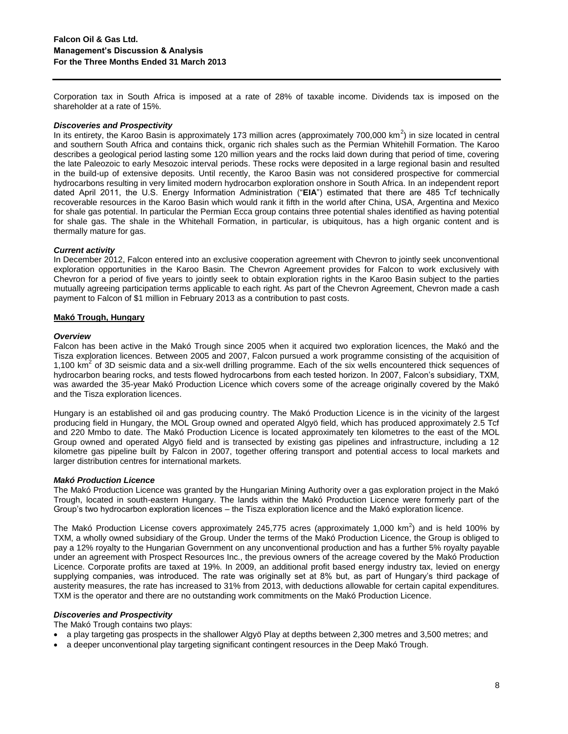Corporation tax in South Africa is imposed at a rate of 28% of taxable income. Dividends tax is imposed on the shareholder at a rate of 15%.

## *Discoveries and Prospectivity*

In its entirety, the Karoo Basin is approximately 173 million acres (approximately 700,000 km<sup>2</sup>) in size located in central and southern South Africa and contains thick, organic rich shales such as the Permian Whitehill Formation. The Karoo describes a geological period lasting some 120 million years and the rocks laid down during that period of time, covering the late Paleozoic to early Mesozoic interval periods. These rocks were deposited in a large regional basin and resulted in the build-up of extensive deposits. Until recently, the Karoo Basin was not considered prospective for commercial hydrocarbons resulting in very limited modern hydrocarbon exploration onshore in South Africa. In an independent report dated April 2011, the U.S. Energy Information Administration ("**EIA**") estimated that there are 485 Tcf technically recoverable resources in the Karoo Basin which would rank it fifth in the world after China, USA, Argentina and Mexico for shale gas potential. In particular the Permian Ecca group contains three potential shales identified as having potential for shale gas. The shale in the Whitehall Formation, in particular, is ubiquitous, has a high organic content and is thermally mature for gas.

## *Current activity*

In December 2012, Falcon entered into an exclusive cooperation agreement with Chevron to jointly seek unconventional exploration opportunities in the Karoo Basin. The Chevron Agreement provides for Falcon to work exclusively with Chevron for a period of five years to jointly seek to obtain exploration rights in the Karoo Basin subject to the parties mutually agreeing participation terms applicable to each right. As part of the Chevron Agreement, Chevron made a cash payment to Falcon of \$1 million in February 2013 as a contribution to past costs.

## **Makó Trough, Hungary**

#### *Overview*

Falcon has been active in the Makó Trough since 2005 when it acquired two exploration licences, the Makó and the Tisza exploration licences. Between 2005 and 2007, Falcon pursued a work programme consisting of the acquisition of 1,100  $km^2$  of 3D seismic data and a six-well drilling programme. Each of the six wells encountered thick sequences of hydrocarbon bearing rocks, and tests flowed hydrocarbons from each tested horizon. In 2007, Falcon's subsidiary, TXM, was awarded the 35-year Makó Production Licence which covers some of the acreage originally covered by the Makó and the Tisza exploration licences.

Hungary is an established oil and gas producing country. The Makó Production Licence is in the vicinity of the largest producing field in Hungary, the MOL Group owned and operated Algyö field, which has produced approximately 2.5 Tcf and 220 Mmbo to date. The Makó Production Licence is located approximately ten kilometres to the east of the MOL Group owned and operated Algyö field and is transected by existing gas pipelines and infrastructure, including a 12 kilometre gas pipeline built by Falcon in 2007, together offering transport and potential access to local markets and larger distribution centres for international markets.

## *Makó Production Licence*

The Makó Production Licence was granted by the Hungarian Mining Authority over a gas exploration project in the Makó Trough, located in south-eastern Hungary. The lands within the Makó Production Licence were formerly part of the Group's two hydrocarbon exploration licences – the Tisza exploration licence and the Makó exploration licence.

The Makó Production License covers approximately 245,775 acres (approximately 1,000 km<sup>2</sup>) and is held 100% by TXM, a wholly owned subsidiary of the Group. Under the terms of the Makó Production Licence, the Group is obliged to pay a 12% royalty to the Hungarian Government on any unconventional production and has a further 5% royalty payable under an agreement with Prospect Resources Inc., the previous owners of the acreage covered by the Makó Production Licence. Corporate profits are taxed at 19%. In 2009, an additional profit based energy industry tax, levied on energy supplying companies, was introduced. The rate was originally set at 8% but, as part of Hungary's third package of austerity measures, the rate has increased to 31% from 2013, with deductions allowable for certain capital expenditures. TXM is the operator and there are no outstanding work commitments on the Makó Production Licence.

## *Discoveries and Prospectivity*

The Makó Trough contains two plays:

- a play targeting gas prospects in the shallower Algyö Play at depths between 2,300 metres and 3,500 metres; and
- a deeper unconventional play targeting significant contingent resources in the Deep Makó Trough.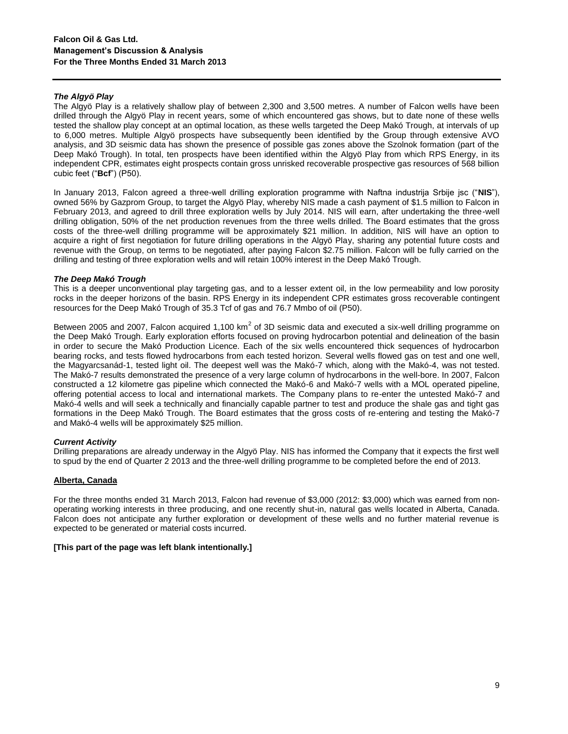## *The Algyö Play*

The Algyö Play is a relatively shallow play of between 2,300 and 3,500 metres. A number of Falcon wells have been drilled through the Algyö Play in recent years, some of which encountered gas shows, but to date none of these wells tested the shallow play concept at an optimal location, as these wells targeted the Deep Makó Trough, at intervals of up to 6,000 metres. Multiple Algyö prospects have subsequently been identified by the Group through extensive AVO analysis, and 3D seismic data has shown the presence of possible gas zones above the Szolnok formation (part of the Deep Makó Trough). In total, ten prospects have been identified within the Algyö Play from which RPS Energy, in its independent CPR, estimates eight prospects contain gross unrisked recoverable prospective gas resources of 568 billion cubic feet ("**Bcf**") (P50).

In January 2013, Falcon agreed a three-well drilling exploration programme with Naftna industrija Srbije jsc ("**NIS**"), owned 56% by Gazprom Group, to target the Algyö Play, whereby NIS made a cash payment of \$1.5 million to Falcon in February 2013, and agreed to drill three exploration wells by July 2014. NIS will earn, after undertaking the three-well drilling obligation, 50% of the net production revenues from the three wells drilled. The Board estimates that the gross costs of the three-well drilling programme will be approximately \$21 million. In addition, NIS will have an option to acquire a right of first negotiation for future drilling operations in the Algyö Play, sharing any potential future costs and revenue with the Group, on terms to be negotiated, after paying Falcon \$2.75 million. Falcon will be fully carried on the drilling and testing of three exploration wells and will retain 100% interest in the Deep Makó Trough.

## *The Deep Makó Trough*

This is a deeper unconventional play targeting gas, and to a lesser extent oil, in the low permeability and low porosity rocks in the deeper horizons of the basin. RPS Energy in its independent CPR estimates gross recoverable contingent resources for the Deep Makó Trough of 35.3 Tcf of gas and 76.7 Mmbo of oil (P50).

Between 2005 and 2007, Falcon acquired 1,100 km<sup>2</sup> of 3D seismic data and executed a six-well drilling programme on the Deep Makó Trough. Early exploration efforts focused on proving hydrocarbon potential and delineation of the basin in order to secure the Makó Production Licence. Each of the six wells encountered thick sequences of hydrocarbon bearing rocks, and tests flowed hydrocarbons from each tested horizon. Several wells flowed gas on test and one well, the Magyarcsanád-1, tested light oil. The deepest well was the Makó-7 which, along with the Makó-4, was not tested. The Makó-7 results demonstrated the presence of a very large column of hydrocarbons in the well-bore. In 2007, Falcon constructed a 12 kilometre gas pipeline which connected the Makó-6 and Makó-7 wells with a MOL operated pipeline, offering potential access to local and international markets. The Company plans to re-enter the untested Makó-7 and Makó-4 wells and will seek a technically and financially capable partner to test and produce the shale gas and tight gas formations in the Deep Makó Trough. The Board estimates that the gross costs of re-entering and testing the Makó-7 and Makó-4 wells will be approximately \$25 million.

## *Current Activity*

Drilling preparations are already underway in the Algyö Play. NIS has informed the Company that it expects the first well to spud by the end of Quarter 2 2013 and the three-well drilling programme to be completed before the end of 2013.

## **Alberta, Canada**

For the three months ended 31 March 2013, Falcon had revenue of \$3,000 (2012: \$3,000) which was earned from nonoperating working interests in three producing, and one recently shut-in, natural gas wells located in Alberta, Canada. Falcon does not anticipate any further exploration or development of these wells and no further material revenue is expected to be generated or material costs incurred.

## **[This part of the page was left blank intentionally.]**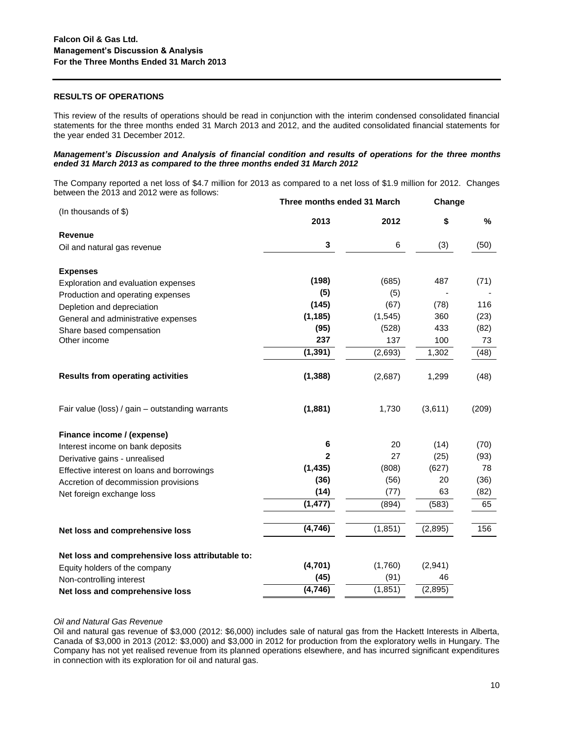## **RESULTS OF OPERATIONS**

This review of the results of operations should be read in conjunction with the interim condensed consolidated financial statements for the three months ended 31 March 2013 and 2012, and the audited consolidated financial statements for the year ended 31 December 2012.

## *Management's Discussion and Analysis of financial condition and results of operations for the three months ended 31 March 2013 as compared to the three months ended 31 March 2012*

The Company reported a net loss of \$4.7 million for 2013 as compared to a net loss of \$1.9 million for 2012. Changes between the 2013 and 2012 were as follows:

|                                                  | Three months ended 31 March |          | Change  |       |
|--------------------------------------------------|-----------------------------|----------|---------|-------|
| (In thousands of \$)                             | 2013                        | 2012     | \$      | %     |
| <b>Revenue</b>                                   |                             |          |         |       |
| Oil and natural gas revenue                      | 3                           | 6        | (3)     | (50)  |
| <b>Expenses</b>                                  |                             |          |         |       |
| Exploration and evaluation expenses              | (198)                       | (685)    | 487     | (71)  |
| Production and operating expenses                | (5)                         | (5)      |         |       |
| Depletion and depreciation                       | (145)                       | (67)     | (78)    | 116   |
| General and administrative expenses              | (1, 185)                    | (1, 545) | 360     | (23)  |
| Share based compensation                         | (95)                        | (528)    | 433     | (82)  |
| Other income                                     | 237                         | 137      | 100     | 73    |
|                                                  | (1, 391)                    | (2,693)  | 1,302   | (48)  |
| <b>Results from operating activities</b>         | (1, 388)                    | (2,687)  | 1,299   | (48)  |
| Fair value (loss) / gain - outstanding warrants  | (1,881)                     | 1,730    | (3,611) | (209) |
| Finance income / (expense)                       |                             |          |         |       |
| Interest income on bank deposits                 | 6                           | 20       | (14)    | (70)  |
| Derivative gains - unrealised                    | 2                           | 27       | (25)    | (93)  |
| Effective interest on loans and borrowings       | (1, 435)                    | (808)    | (627)   | 78    |
| Accretion of decommission provisions             | (36)                        | (56)     | 20      | (36)  |
| Net foreign exchange loss                        | (14)                        | (77)     | 63      | (82)  |
|                                                  | (1, 477)                    | (894)    | (583)   | 65    |
| Net loss and comprehensive loss                  | (4,746)                     | (1, 851) | (2,895) | 156   |
| Net loss and comprehensive loss attributable to: |                             |          |         |       |
| Equity holders of the company                    | (4,701)                     | (1,760)  | (2,941) |       |
| Non-controlling interest                         | (45)                        | (91)     | 46      |       |
| Net loss and comprehensive loss                  | (4,746)                     | (1, 851) | (2,895) |       |

#### *Oil and Natural Gas Revenue*

Oil and natural gas revenue of \$3,000 (2012: \$6,000) includes sale of natural gas from the Hackett Interests in Alberta, Canada of \$3,000 in 2013 (2012: \$3,000) and \$3,000 in 2012 for production from the exploratory wells in Hungary. The Company has not yet realised revenue from its planned operations elsewhere, and has incurred significant expenditures in connection with its exploration for oil and natural gas.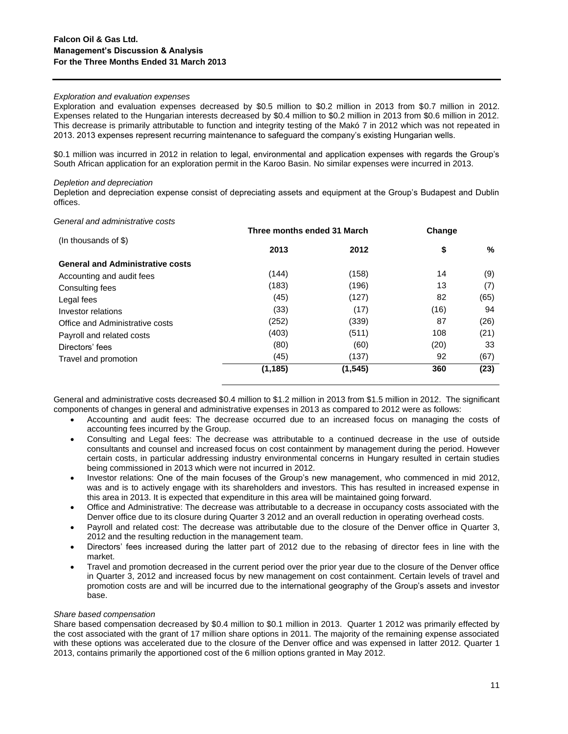## *Exploration and evaluation expenses*

Exploration and evaluation expenses decreased by \$0.5 million to \$0.2 million in 2013 from \$0.7 million in 2012. Expenses related to the Hungarian interests decreased by \$0.4 million to \$0.2 million in 2013 from \$0.6 million in 2012. This decrease is primarily attributable to function and integrity testing of the Makó 7 in 2012 which was not repeated in 2013. 2013 expenses represent recurring maintenance to safeguard the company's existing Hungarian wells.

\$0.1 million was incurred in 2012 in relation to legal, environmental and application expenses with regards the Group's South African application for an exploration permit in the Karoo Basin. No similar expenses were incurred in 2013.

#### *Depletion and depreciation*

Depletion and depreciation expense consist of depreciating assets and equipment at the Group's Budapest and Dublin offices.

### *General and administrative costs*

|                                         | Three months ended 31 March | Change   |      |      |
|-----------------------------------------|-----------------------------|----------|------|------|
| (In thousands of \$)                    | 2013                        | 2012     | \$   | %    |
| <b>General and Administrative costs</b> |                             |          |      |      |
| Accounting and audit fees               | (144)                       | (158)    | 14   | (9)  |
| Consulting fees                         | (183)                       | (196)    | 13   | (7)  |
| Legal fees                              | (45)                        | (127)    | 82   | (65) |
| Investor relations                      | (33)                        | (17)     | (16) | 94   |
| Office and Administrative costs         | (252)                       | (339)    | 87   | (26) |
| Payroll and related costs               | (403)                       | (511)    | 108  | (21) |
| Directors' fees                         | (80)                        | (60)     | (20) | 33   |
| Travel and promotion                    | (45)                        | (137)    | 92   | (67) |
|                                         | (1, 185)                    | (1, 545) | 360  | (23) |

General and administrative costs decreased \$0.4 million to \$1.2 million in 2013 from \$1.5 million in 2012. The significant components of changes in general and administrative expenses in 2013 as compared to 2012 were as follows:

- Accounting and audit fees: The decrease occurred due to an increased focus on managing the costs of accounting fees incurred by the Group.
- Consulting and Legal fees: The decrease was attributable to a continued decrease in the use of outside consultants and counsel and increased focus on cost containment by management during the period. However certain costs, in particular addressing industry environmental concerns in Hungary resulted in certain studies being commissioned in 2013 which were not incurred in 2012.
- Investor relations: One of the main focuses of the Group's new management, who commenced in mid 2012, was and is to actively engage with its shareholders and investors. This has resulted in increased expense in this area in 2013. It is expected that expenditure in this area will be maintained going forward.
- Office and Administrative: The decrease was attributable to a decrease in occupancy costs associated with the Denver office due to its closure during Quarter 3 2012 and an overall reduction in operating overhead costs.
- Payroll and related cost: The decrease was attributable due to the closure of the Denver office in Quarter 3, 2012 and the resulting reduction in the management team.
- Directors' fees increased during the latter part of 2012 due to the rebasing of director fees in line with the market.
- Travel and promotion decreased in the current period over the prior year due to the closure of the Denver office in Quarter 3, 2012 and increased focus by new management on cost containment. Certain levels of travel and promotion costs are and will be incurred due to the international geography of the Group's assets and investor base.

## *Share based compensation*

Share based compensation decreased by \$0.4 million to \$0.1 million in 2013. Quarter 1 2012 was primarily effected by the cost associated with the grant of 17 million share options in 2011. The majority of the remaining expense associated with these options was accelerated due to the closure of the Denver office and was expensed in latter 2012. Quarter 1 2013, contains primarily the apportioned cost of the 6 million options granted in May 2012.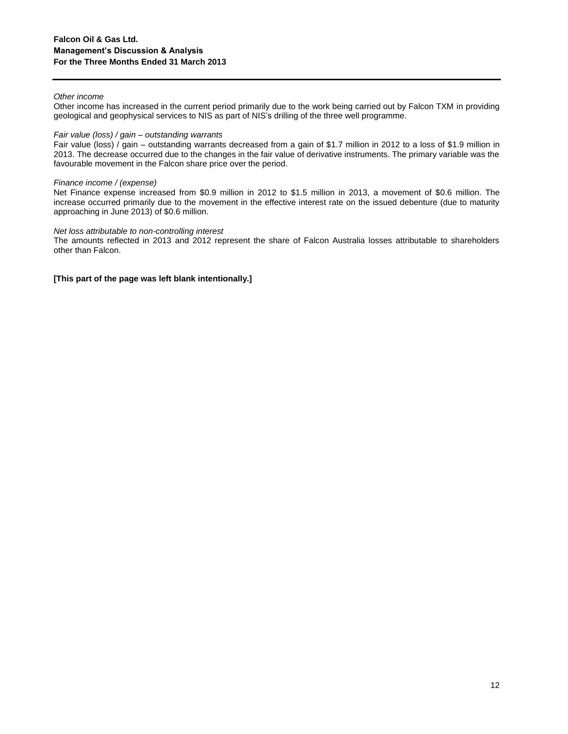## *Other income*

Other income has increased in the current period primarily due to the work being carried out by Falcon TXM in providing geological and geophysical services to NIS as part of NIS's drilling of the three well programme.

#### *Fair value (loss) / gain – outstanding warrants*

Fair value (loss) / gain – outstanding warrants decreased from a gain of \$1.7 million in 2012 to a loss of \$1.9 million in 2013. The decrease occurred due to the changes in the fair value of derivative instruments. The primary variable was the favourable movement in the Falcon share price over the period.

## *Finance income / (expense)*

Net Finance expense increased from \$0.9 million in 2012 to \$1.5 million in 2013, a movement of \$0.6 million. The increase occurred primarily due to the movement in the effective interest rate on the issued debenture (due to maturity approaching in June 2013) of \$0.6 million.

## *Net loss attributable to non-controlling interest*

The amounts reflected in 2013 and 2012 represent the share of Falcon Australia losses attributable to shareholders other than Falcon.

**[This part of the page was left blank intentionally.]**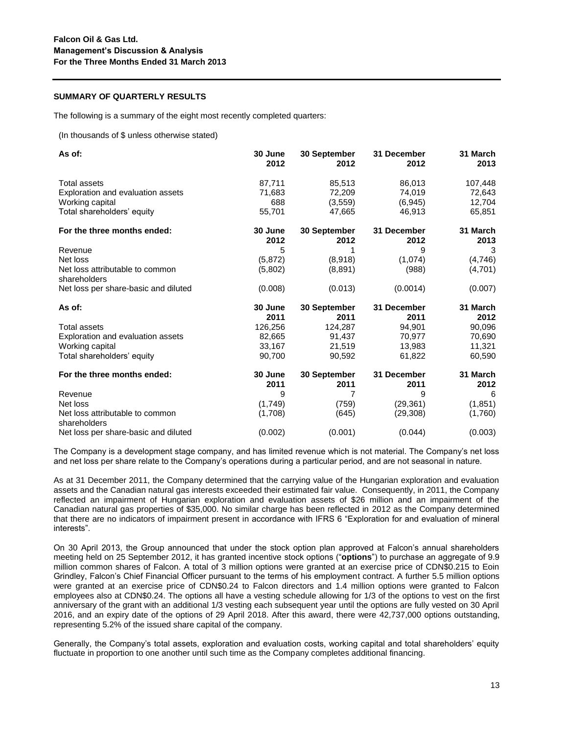## **SUMMARY OF QUARTERLY RESULTS**

The following is a summary of the eight most recently completed quarters:

### (In thousands of \$ unless otherwise stated)

| As of:                                          | 30 June<br>2012 | 30 September<br>2012 | 31 December<br>2012 | 31 March<br>2013 |
|-------------------------------------------------|-----------------|----------------------|---------------------|------------------|
| Total assets                                    | 87,711          | 85,513               | 86,013              | 107,448          |
| Exploration and evaluation assets               | 71,683          | 72,209               | 74,019              | 72,643           |
| Working capital                                 | 688             | (3, 559)             | (6, 945)            | 12,704           |
| Total shareholders' equity                      | 55,701          | 47,665               | 46,913              | 65,851           |
| For the three months ended:                     | 30 June<br>2012 | 30 September<br>2012 | 31 December<br>2012 | 31 March         |
| Revenue                                         | 5               |                      | 9                   | 2013<br>3        |
| Net loss                                        | (5, 872)        | (8,918)              |                     |                  |
|                                                 |                 |                      | (1,074)             | (4,746)          |
| Net loss attributable to common<br>shareholders | (5,802)         | (8,891)              | (988)               | (4,701)          |
| Net loss per share-basic and diluted            | (0.008)         | (0.013)              | (0.0014)            | (0.007)          |
| As of:                                          | 30 June         | 30 September         | 31 December         | 31 March         |
|                                                 | 2011            | 2011                 | 2011                | 2012             |
| <b>Total assets</b>                             | 126,256         | 124,287              | 94,901              | 90,096           |
| Exploration and evaluation assets               | 82,665          | 91,437               | 70,977              | 70,690           |
| Working capital                                 | 33,167          | 21,519               | 13,983              | 11,321           |
| Total shareholders' equity                      | 90,700          | 90,592               | 61,822              | 60,590           |
| For the three months ended:                     | 30 June<br>2011 | 30 September<br>2011 | 31 December<br>2011 | 31 March<br>2012 |
| Revenue                                         | 9               | 7                    | 9                   | 6                |
| Net loss                                        | (1,749)         | (759)                | (29, 361)           | (1, 851)         |
| Net loss attributable to common<br>shareholders | (1,708)         | (645)                | (29, 308)           | (1,760)          |
| Net loss per share-basic and diluted            | (0.002)         | (0.001)              | (0.044)             | (0.003)          |

The Company is a development stage company, and has limited revenue which is not material. The Company's net loss and net loss per share relate to the Company's operations during a particular period, and are not seasonal in nature.

As at 31 December 2011, the Company determined that the carrying value of the Hungarian exploration and evaluation assets and the Canadian natural gas interests exceeded their estimated fair value. Consequently, in 2011, the Company reflected an impairment of Hungarian exploration and evaluation assets of \$26 million and an impairment of the Canadian natural gas properties of \$35,000. No similar charge has been reflected in 2012 as the Company determined that there are no indicators of impairment present in accordance with IFRS 6 "Exploration for and evaluation of mineral interests".

On 30 April 2013, the Group announced that under the stock option plan approved at Falcon's annual shareholders meeting held on 25 September 2012, it has granted incentive stock options ("**options**") to purchase an aggregate of 9.9 million common shares of Falcon. A total of 3 million options were granted at an exercise price of CDN\$0.215 to Eoin Grindley, Falcon's Chief Financial Officer pursuant to the terms of his employment contract. A further 5.5 million options were granted at an exercise price of CDN\$0.24 to Falcon directors and 1.4 million options were granted to Falcon employees also at CDN\$0.24. The options all have a vesting schedule allowing for 1/3 of the options to vest on the first anniversary of the grant with an additional 1/3 vesting each subsequent year until the options are fully vested on 30 April 2016, and an expiry date of the options of 29 April 2018. After this award, there were 42,737,000 options outstanding, representing 5.2% of the issued share capital of the company.

Generally, the Company's total assets, exploration and evaluation costs, working capital and total shareholders' equity fluctuate in proportion to one another until such time as the Company completes additional financing.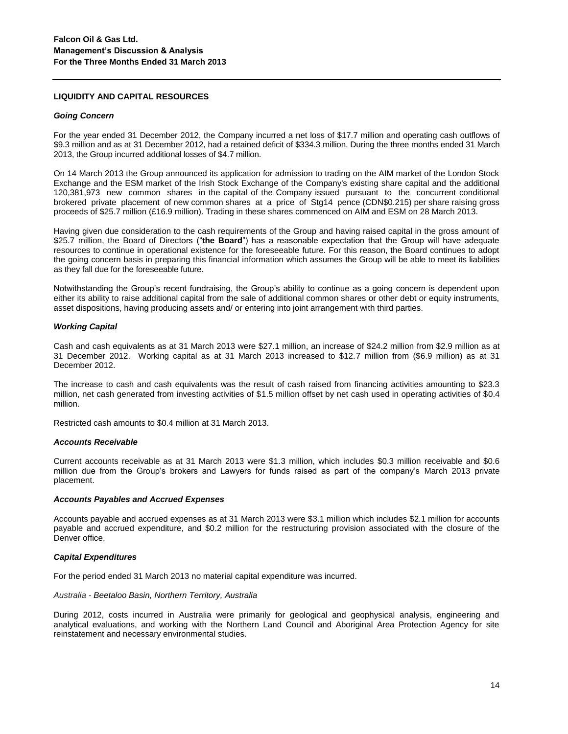## **LIQUIDITY AND CAPITAL RESOURCES**

#### *Going Concern*

For the year ended 31 December 2012, the Company incurred a net loss of \$17.7 million and operating cash outflows of \$9.3 million and as at 31 December 2012, had a retained deficit of \$334.3 million. During the three months ended 31 March 2013, the Group incurred additional losses of \$4.7 million.

On 14 March 2013 the Group announced its application for admission to trading on the AIM market of the London Stock Exchange and the ESM market of the Irish Stock Exchange of the Company's existing share capital and the additional 120,381,973 new common shares in the capital of the Company issued pursuant to the concurrent conditional brokered private placement of new common shares at a price of Stg14 pence (CDN\$0.215) per share raising gross proceeds of \$25.7 million (£16.9 million). Trading in these shares commenced on AIM and ESM on 28 March 2013.

Having given due consideration to the cash requirements of the Group and having raised capital in the gross amount of \$25.7 million, the Board of Directors ("**the Board**") has a reasonable expectation that the Group will have adequate resources to continue in operational existence for the foreseeable future. For this reason, the Board continues to adopt the going concern basis in preparing this financial information which assumes the Group will be able to meet its liabilities as they fall due for the foreseeable future.

Notwithstanding the Group's recent fundraising, the Group's ability to continue as a going concern is dependent upon either its ability to raise additional capital from the sale of additional common shares or other debt or equity instruments, asset dispositions, having producing assets and/ or entering into joint arrangement with third parties.

## *Working Capital*

Cash and cash equivalents as at 31 March 2013 were \$27.1 million, an increase of \$24.2 million from \$2.9 million as at 31 December 2012. Working capital as at 31 March 2013 increased to \$12.7 million from (\$6.9 million) as at 31 December 2012.

The increase to cash and cash equivalents was the result of cash raised from financing activities amounting to \$23.3 million, net cash generated from investing activities of \$1.5 million offset by net cash used in operating activities of \$0.4 million.

Restricted cash amounts to \$0.4 million at 31 March 2013.

## *Accounts Receivable*

Current accounts receivable as at 31 March 2013 were \$1.3 million, which includes \$0.3 million receivable and \$0.6 million due from the Group's brokers and Lawyers for funds raised as part of the company's March 2013 private placement.

#### *Accounts Payables and Accrued Expenses*

Accounts payable and accrued expenses as at 31 March 2013 were \$3.1 million which includes \$2.1 million for accounts payable and accrued expenditure, and \$0.2 million for the restructuring provision associated with the closure of the Denver office.

#### *Capital Expenditures*

For the period ended 31 March 2013 no material capital expenditure was incurred.

#### *Australia - Beetaloo Basin, Northern Territory, Australia*

During 2012, costs incurred in Australia were primarily for geological and geophysical analysis, engineering and analytical evaluations, and working with the Northern Land Council and Aboriginal Area Protection Agency for site reinstatement and necessary environmental studies.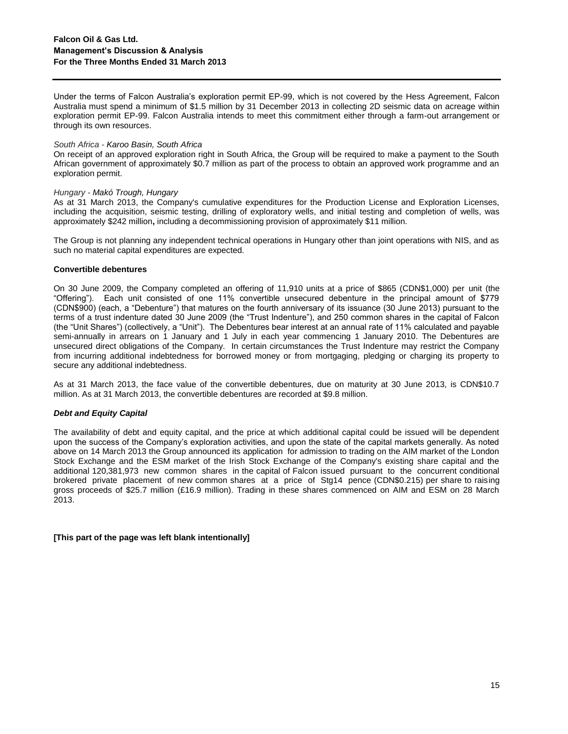Under the terms of Falcon Australia's exploration permit EP-99, which is not covered by the Hess Agreement, Falcon Australia must spend a minimum of \$1.5 million by 31 December 2013 in collecting 2D seismic data on acreage within exploration permit EP-99. Falcon Australia intends to meet this commitment either through a farm-out arrangement or through its own resources.

## *South Africa - Karoo Basin, South Africa*

On receipt of an approved exploration right in South Africa, the Group will be required to make a payment to the South African government of approximately \$0.7 million as part of the process to obtain an approved work programme and an exploration permit.

## *Hungary - Makó Trough, Hungary*

As at 31 March 2013, the Company's cumulative expenditures for the Production License and Exploration Licenses, including the acquisition, seismic testing, drilling of exploratory wells, and initial testing and completion of wells, was approximately \$242 million**,** including a decommissioning provision of approximately \$11 million.

The Group is not planning any independent technical operations in Hungary other than joint operations with NIS, and as such no material capital expenditures are expected.

## **Convertible debentures**

On 30 June 2009, the Company completed an offering of 11,910 units at a price of \$865 (CDN\$1,000) per unit (the "Offering"). Each unit consisted of one 11% convertible unsecured debenture in the principal amount of \$779 (CDN\$900) (each, a "Debenture") that matures on the fourth anniversary of its issuance (30 June 2013) pursuant to the terms of a trust indenture dated 30 June 2009 (the "Trust Indenture"), and 250 common shares in the capital of Falcon (the "Unit Shares") (collectively, a "Unit"). The Debentures bear interest at an annual rate of 11% calculated and payable semi-annually in arrears on 1 January and 1 July in each year commencing 1 January 2010. The Debentures are unsecured direct obligations of the Company. In certain circumstances the Trust Indenture may restrict the Company from incurring additional indebtedness for borrowed money or from mortgaging, pledging or charging its property to secure any additional indebtedness.

As at 31 March 2013, the face value of the convertible debentures, due on maturity at 30 June 2013, is CDN\$10.7 million. As at 31 March 2013, the convertible debentures are recorded at \$9.8 million.

## *Debt and Equity Capital*

The availability of debt and equity capital, and the price at which additional capital could be issued will be dependent upon the success of the Company's exploration activities, and upon the state of the capital markets generally. As noted above on 14 March 2013 the Group announced its application for admission to trading on the AIM market of the London Stock Exchange and the ESM market of the Irish Stock Exchange of the Company's existing share capital and the additional 120,381,973 new common shares in the capital of Falcon issued pursuant to the concurrent conditional brokered private placement of new common shares at a price of Stg14 pence (CDN\$0.215) per share to raising gross proceeds of \$25.7 million (£16.9 million). Trading in these shares commenced on AIM and ESM on 28 March 2013.

## **[This part of the page was left blank intentionally]**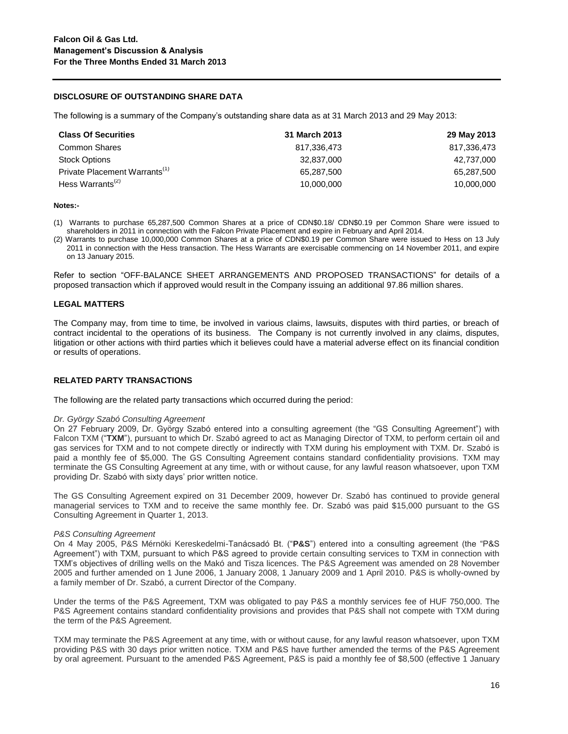## **DISCLOSURE OF OUTSTANDING SHARE DATA**

The following is a summary of the Company's outstanding share data as at 31 March 2013 and 29 May 2013:

| <b>Class Of Securities</b>                | 31 March 2013 | 29 May 2013 |
|-------------------------------------------|---------------|-------------|
| Common Shares                             | 817.336.473   | 817,336,473 |
| <b>Stock Options</b>                      | 32.837.000    | 42.737.000  |
| Private Placement Warrants <sup>(1)</sup> | 65.287.500    | 65.287.500  |
| Hess Warrants <sup>(2)</sup>              | 10.000.000    | 10.000.000  |

## **Notes:-**

- (1) Warrants to purchase 65,287,500 Common Shares at a price of CDN\$0.18/ CDN\$0.19 per Common Share were issued to shareholders in 2011 in connection with the Falcon Private Placement and expire in February and April 2014.
- (2) Warrants to purchase 10,000,000 Common Shares at a price of CDN\$0.19 per Common Share were issued to Hess on 13 July 2011 in connection with the Hess transaction. The Hess Warrants are exercisable commencing on 14 November 2011, and expire on 13 January 2015.

Refer to section "OFF-BALANCE SHEET ARRANGEMENTS AND PROPOSED TRANSACTIONS" for details of a proposed transaction which if approved would result in the Company issuing an additional 97.86 million shares.

## **LEGAL MATTERS**

The Company may, from time to time, be involved in various claims, lawsuits, disputes with third parties, or breach of contract incidental to the operations of its business. The Company is not currently involved in any claims, disputes, litigation or other actions with third parties which it believes could have a material adverse effect on its financial condition or results of operations.

## **RELATED PARTY TRANSACTIONS**

The following are the related party transactions which occurred during the period:

#### *Dr. György Szabó Consulting Agreement*

On 27 February 2009, Dr. György Szabó entered into a consulting agreement (the "GS Consulting Agreement") with Falcon TXM ("**TXM**"), pursuant to which Dr. Szabó agreed to act as Managing Director of TXM, to perform certain oil and gas services for TXM and to not compete directly or indirectly with TXM during his employment with TXM. Dr. Szabó is paid a monthly fee of \$5,000. The GS Consulting Agreement contains standard confidentiality provisions. TXM may terminate the GS Consulting Agreement at any time, with or without cause, for any lawful reason whatsoever, upon TXM providing Dr. Szabó with sixty days' prior written notice.

The GS Consulting Agreement expired on 31 December 2009, however Dr. Szabó has continued to provide general managerial services to TXM and to receive the same monthly fee. Dr. Szabó was paid \$15,000 pursuant to the GS Consulting Agreement in Quarter 1, 2013.

## *P&S Consulting Agreement*

On 4 May 2005, P&S Mérnöki Kereskedelmi-Tanácsadó Bt. ("**P&S**") entered into a consulting agreement (the "P&S Agreement") with TXM, pursuant to which P&S agreed to provide certain consulting services to TXM in connection with TXM's objectives of drilling wells on the Makó and Tisza licences. The P&S Agreement was amended on 28 November 2005 and further amended on 1 June 2006, 1 January 2008, 1 January 2009 and 1 April 2010. P&S is wholly-owned by a family member of Dr. Szabó, a current Director of the Company.

Under the terms of the P&S Agreement, TXM was obligated to pay P&S a monthly services fee of HUF 750,000. The P&S Agreement contains standard confidentiality provisions and provides that P&S shall not compete with TXM during the term of the P&S Agreement.

TXM may terminate the P&S Agreement at any time, with or without cause, for any lawful reason whatsoever, upon TXM providing P&S with 30 days prior written notice. TXM and P&S have further amended the terms of the P&S Agreement by oral agreement. Pursuant to the amended P&S Agreement, P&S is paid a monthly fee of \$8,500 (effective 1 January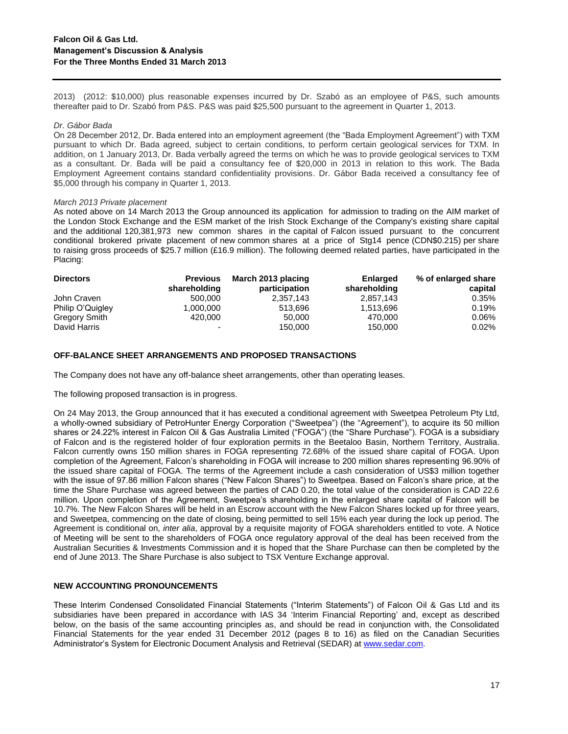2013) (2012: \$10,000) plus reasonable expenses incurred by Dr. Szabó as an employee of P&S, such amounts thereafter paid to Dr. Szabó from P&S. P&S was paid \$25,500 pursuant to the agreement in Quarter 1, 2013.

## *Dr. Gábor Bada*

On 28 December 2012, Dr. Bada entered into an employment agreement (the "Bada Employment Agreement") with TXM pursuant to which Dr. Bada agreed, subject to certain conditions, to perform certain geological services for TXM. In addition, on 1 January 2013, Dr. Bada verbally agreed the terms on which he was to provide geological services to TXM as a consultant. Dr. Bada will be paid a consultancy fee of \$20,000 in 2013 in relation to this work. The Bada Employment Agreement contains standard confidentiality provisions. Dr. Gábor Bada received a consultancy fee of \$5,000 through his company in Quarter 1, 2013.

## *March 2013 Private placement*

As noted above on 14 March 2013 the Group announced its application for admission to trading on the AIM market of the London Stock Exchange and the ESM market of the Irish Stock Exchange of the Company's existing share capital and the additional 120,381,973 new common shares in the capital of Falcon issued pursuant to the concurrent conditional brokered private placement of new common shares at a price of Stg14 pence (CDN\$0.215) per share to raising gross proceeds of \$25.7 million (£16.9 million). The following deemed related parties, have participated in the Placing:

| <b>Directors</b>     | <b>Previous</b><br>shareholding | March 2013 placing<br>participation | <b>Enlarged</b><br>shareholding | % of enlarged share<br>capital |
|----------------------|---------------------------------|-------------------------------------|---------------------------------|--------------------------------|
| John Craven          | 500,000                         | 2.357.143                           | 2.857.143                       | 0.35%                          |
| Philip O'Quigley     | 1.000.000                       | 513.696                             | 1.513.696                       | 0.19%                          |
| <b>Gregory Smith</b> | 420,000                         | 50,000                              | 470.000                         | $0.06\%$                       |
| David Harris         | -                               | 150,000                             | 150,000                         | $0.02\%$                       |

## **OFF-BALANCE SHEET ARRANGEMENTS AND PROPOSED TRANSACTIONS**

The Company does not have any off-balance sheet arrangements, other than operating leases.

The following proposed transaction is in progress.

On 24 May 2013, the Group announced that it has executed a conditional agreement with Sweetpea Petroleum Pty Ltd, a wholly-owned subsidiary of PetroHunter Energy Corporation ("Sweetpea") (the "Agreement"), to acquire its 50 million shares or 24.22% interest in Falcon Oil & Gas Australia Limited ("FOGA") (the "Share Purchase"). FOGA is a subsidiary of Falcon and is the registered holder of four exploration permits in the Beetaloo Basin, Northern Territory, Australia. Falcon currently owns 150 million shares in FOGA representing 72.68% of the issued share capital of FOGA. Upon completion of the Agreement, Falcon's shareholding in FOGA will increase to 200 million shares representing 96.90% of the issued share capital of FOGA. The terms of the Agreement include a cash consideration of US\$3 million together with the issue of 97.86 million Falcon shares ("New Falcon Shares") to Sweetpea. Based on Falcon's share price, at the time the Share Purchase was agreed between the parties of CAD 0.20, the total value of the consideration is CAD 22.6 million. Upon completion of the Agreement, Sweetpea's shareholding in the enlarged share capital of Falcon will be 10.7%. The New Falcon Shares will be held in an Escrow account with the New Falcon Shares locked up for three years, and Sweetpea, commencing on the date of closing, being permitted to sell 15% each year during the lock up period. The Agreement is conditional on, *inter alia*, approval by a requisite majority of FOGA shareholders entitled to vote. A Notice of Meeting will be sent to the shareholders of FOGA once regulatory approval of the deal has been received from the Australian Securities & Investments Commission and it is hoped that the Share Purchase can then be completed by the end of June 2013. The Share Purchase is also subject to TSX Venture Exchange approval.

## **NEW ACCOUNTING PRONOUNCEMENTS**

These Interim Condensed Consolidated Financial Statements ("Interim Statements") of Falcon Oil & Gas Ltd and its subsidiaries have been prepared in accordance with IAS 34 'Interim Financial Reporting' and, except as described below, on the basis of the same accounting principles as, and should be read in conjunction with, the Consolidated Financial Statements for the year ended 31 December 2012 (pages 8 to 16) as filed on the Canadian Securities Administrator's System for Electronic Document Analysis and Retrieval (SEDAR) at [www.sedar.com.](http://www.sedar.com/)